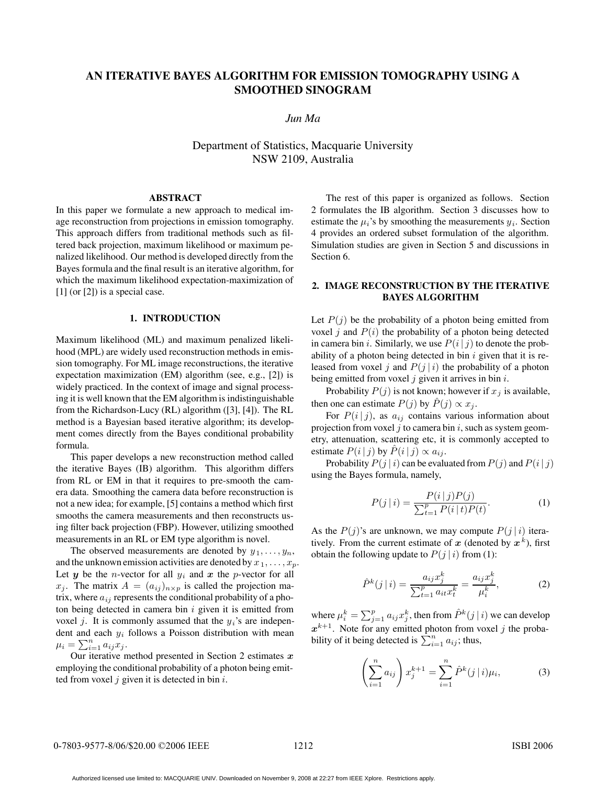# **AN ITERATIVE BAYES ALGORITHM FOR EMISSION TOMOGRAPHY USING A SMOOTHED SINOGRAM**

*Jun Ma*

Department of Statistics, Macquarie University NSW 2109, Australia

#### **ABSTRACT**

In this paper we formulate a new approach to medical image reconstruction from projections in emission tomography. This approach differs from traditional methods such as filtered back projection, maximum likelihood or maximum penalized likelihood. Our method is developed directly from the Bayes formula and the final result is an iterative algorithm, for which the maximum likelihood expectation-maximization of [1] (or [2]) is a special case.

## **1. INTRODUCTION**

Maximum likelihood (ML) and maximum penalized likelihood (MPL) are widely used reconstruction methods in emission tomography. For ML image reconstructions, the iterative expectation maximization (EM) algorithm (see, e.g., [2]) is widely practiced. In the context of image and signal processing it is well known that the EM algorithm is indistinguishable from the Richardson-Lucy (RL) algorithm ([3], [4]). The RL method is a Bayesian based iterative algorithm; its development comes directly from the Bayes conditional probability formula.

This paper develops a new reconstruction method called the iterative Bayes (IB) algorithm. This algorithm differs from RL or EM in that it requires to pre-smooth the camera data. Smoothing the camera data before reconstruction is not a new idea; for example, [5] contains a method which first smooths the camera measurements and then reconstructs using filter back projection (FBP). However, utilizing smoothed measurements in an RL or EM type algorithm is novel.

The observed measurements are denoted by  $y_1, \ldots, y_n$ , and the unknown emission activities are denoted by  $x_1, \ldots, x_p$ . Let  $y$  be the *n*-vector for all  $y_i$  and  $x$  the *p*-vector for all  $x_j$ . The matrix  $A = (a_{ij})_{n \times p}$  is called the projection matrix, where  $a_{ij}$  represents the conditional probability of a photon being detected in camera bin  $i$  given it is emitted from voxel j. It is commonly assumed that the  $y_i$ 's are independent and each  $y_i$  follows a Poisson distribution with mean  $\mu_i = \sum_{i=1}^n a_{ij} x_j.$ <br>Our iterative n

Our iterative method presented in Section 2 estimates *x* employing the conditional probability of a photon being emitted from voxel  $j$  given it is detected in bin  $i$ .

The rest of this paper is organized as follows. Section 2 formulates the IB algorithm. Section 3 discusses how to estimate the  $\mu_i$ 's by smoothing the measurements  $y_i$ . Section 4 provides an ordered subset formulation of the algorithm. Simulation studies are given in Section 5 and discussions in Section 6.

## **2. IMAGE RECONSTRUCTION BY THE ITERATIVE BAYES ALGORITHM**

Let  $P(j)$  be the probability of a photon being emitted from voxel *j* and  $P(i)$  the probability of a photon being detected in camera bin *i*. Similarly, we use  $P(i | j)$  to denote the probability of a photon being detected in bin  $i$  given that it is released from voxel j and  $P(j | i)$  the probability of a photon being emitted from voxel  $j$  given it arrives in bin  $i$ .

Probability  $P(j)$  is not known; however if  $x_j$  is available, then one can estimate  $P(j)$  by  $\hat{P}(j) \propto x_j$ .

For  $P(i | j)$ , as  $a_{ij}$  contains various information about projection from voxel  $j$  to camera bin  $i$ , such as system geometry, attenuation, scattering etc, it is commonly accepted to estimate  $P(i|j)$  by  $\hat{P}(i|j) \propto a_{ij}$ .

Probability  $P(j | i)$  can be evaluated from  $P(j)$  and  $P(i | j)$ using the Bayes formula, namely,

$$
P(j|i) = \frac{P(i|j)P(j)}{\sum_{t=1}^{p} P(i|t)P(t)}.
$$
 (1)

As the  $P(j)$ 's are unknown, we may compute  $P(j|i)$  iteratively. From the current estimate of  $x$  (denoted by  $x^k$ ), first obtain the following update to  $P(j|i)$  from (1):

$$
\hat{P}^{k}(j \mid i) = \frac{a_{ij}x_{j}^{k}}{\sum_{t=1}^{p} a_{it}x_{t}^{k}} = \frac{a_{ij}x_{j}^{k}}{\mu_{i}^{k}},
$$
\n(2)

where  $\mu_i^k = \sum_{j=1}^p a_{ij} x_j^k$ , then from  $\hat{P}^k(j|i)$  we can develop  $x^{k+1}$ . Note for any emitted photon from voxel j the probability of it being detected is  $\sum_{i=1}^{n} a_{ij}$ ; thus,

$$
\left(\sum_{i=1}^{n} a_{ij}\right) x_j^{k+1} = \sum_{i=1}^{n} \hat{P}^k(j|i)\mu_i,
$$
 (3)

Authorized licensed use limited to: MACQUARIE UNIV. Downloaded on November 9, 2008 at 22:27 from IEEE Xplore. Restrictions apply.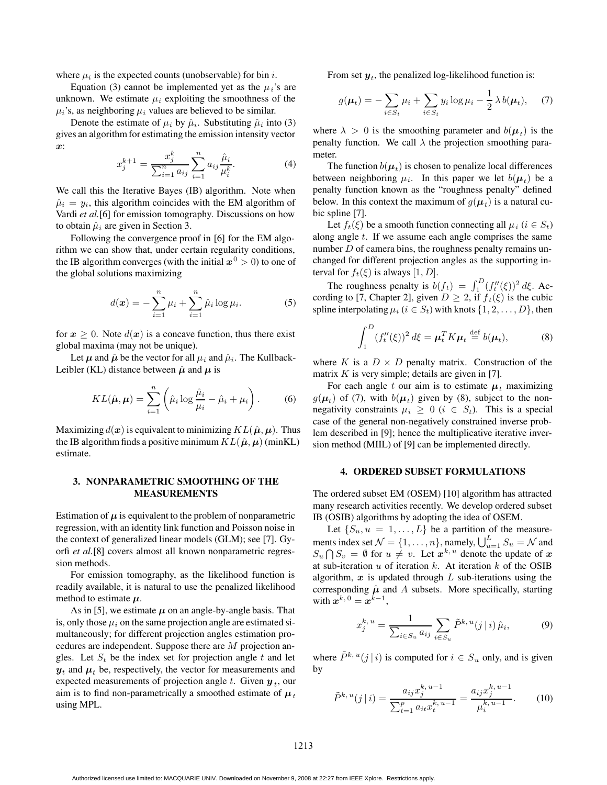where  $\mu_i$  is the expected counts (unobservable) for bin i.

Equation (3) cannot be implemented yet as the  $\mu_i$ 's are unknown. We estimate  $\mu_i$  exploiting the smoothness of the  $\mu_i$ 's, as neighboring  $\mu_i$  values are believed to be similar.

Denote the estimate of  $\mu_i$  by  $\hat{\mu}_i$ . Substituting  $\hat{\mu}_i$  into (3) gives an algorithm for estimating the emission intensity vector *x*:

$$
x_j^{k+1} = \frac{x_j^k}{\sum_{i=1}^n a_{ij}} \sum_{i=1}^n a_{ij} \frac{\hat{\mu}_i}{\mu_i^k}.
$$
 (4)

We call this the Iterative Bayes (IB) algorithm. Note when  $\hat{\mu}_i = y_i$ , this algorithm coincides with the EM algorithm of Vardi *et al.*[6] for emission tomography. Discussions on how to obtain  $\hat{\mu}_i$  are given in Section 3.

Following the convergence proof in [6] for the EM algorithm we can show that, under certain regularity conditions, the IB algorithm converges (with the initial  $x^0 > 0$ ) to one of the global solutions maximizing

$$
d(\pmb{x}) = -\sum_{i=1}^{n} \mu_i + \sum_{i=1}^{n} \hat{\mu}_i \log \mu_i.
$$
 (5)

for  $x \geq 0$ . Note  $d(x)$  is a concave function, thus there exist global maxima (may not be unique).

Let  $\mu$  and  $\hat{\mu}$  be the vector for all  $\mu_i$  and  $\hat{\mu}_i$ . The Kullback-Leibler (KL) distance between  $\hat{\mu}$  and  $\mu$  is

$$
KL(\hat{\boldsymbol{\mu}}, \boldsymbol{\mu}) = \sum_{i=1}^{n} \left( \hat{\mu}_i \log \frac{\hat{\mu}_i}{\mu_i} - \hat{\mu}_i + \mu_i \right). \tag{6}
$$

Maximizing  $d(x)$  is equivalent to minimizing  $KL(\hat{\boldsymbol{\mu}}, \boldsymbol{\mu})$ . Thus the IB algorithm finds a positive minimum  $KL(\hat{\boldsymbol{\mu}}, \boldsymbol{\mu})$  (minKL) estimate.

### **3. NONPARAMETRIC SMOOTHING OF THE MEASUREMENTS**

Estimation of  $\mu$  is equivalent to the problem of nonparametric regression, with an identity link function and Poisson noise in the context of generalized linear models (GLM); see [7]. Gyorfi *et al.*[8] covers almost all known nonparametric regression methods.

For emission tomography, as the likelihood function is readily available, it is natural to use the penalized likelihood method to estimate  $\mu$ .

As in [5], we estimate  $\mu$  on an angle-by-angle basis. That is, only those  $\mu_i$  on the same projection angle are estimated simultaneously; for different projection angles estimation procedures are independent. Suppose there are M projection angles. Let  $S_t$  be the index set for projection angle t and let  $y_t$  and  $\mu_t$  be, respectively, the vector for measurements and expected measurements of projection angle t. Given  $y_t$ , our aim is to find non-parametrically a smoothed estimate of  $\mu_t$ using MPL.

From set  $y_t$ , the penalized log-likelihood function is:

$$
g(\boldsymbol{\mu}_t) = -\sum_{i \in S_t} \mu_i + \sum_{i \in S_t} y_i \log \mu_i - \frac{1}{2} \lambda b(\boldsymbol{\mu}_t), \quad (7)
$$

where  $\lambda > 0$  is the smoothing parameter and  $b(\mu_t)$  is the penalty function. We call  $\lambda$  the projection smoothing parameter.

The function  $b(\mu_t)$  is chosen to penalize local differences between neighboring  $\mu_i$ . In this paper we let  $b(\mu_t)$  be a penalty function known as the "roughness penalty" defined below. In this context the maximum of  $g(\mu_t)$  is a natural cubic spline [7].

Let  $f_t(\xi)$  be a smooth function connecting all  $\mu_i$  ( $i \in S_t$ ) along angle  $t$ . If we assume each angle comprises the same number  $D$  of camera bins, the roughness penalty remains unchanged for different projection angles as the supporting interval for  $f_t(\xi)$  is always [1, D].

The roughness penalty is  $b(f_t) = \int_1^D (f''_t(\xi))^2 d\xi$ . Action to [7] Chapter 21, given  $D > 2$ , if  $f_+(\xi)$  is the cubic cording to [7, Chapter 2], given  $D \ge 2$ , if  $f_t(\xi)$  is the cubic spline interpolating  $\mu_i$  ( $i \in S_t$ ) with knots  $\{1, 2, ..., D\}$ , then

$$
\int_{1}^{D} (f_t''(\xi))^2 d\xi = \boldsymbol{\mu}_t^T K \boldsymbol{\mu}_t \stackrel{\text{def}}{=} b(\boldsymbol{\mu}_t),
$$
 (8)

where K is a  $D \times D$  penalty matrix. Construction of the matrix  $K$  is very simple; details are given in [7].

For each angle t our aim is to estimate  $\mu_t$  maximizing  $g(\mu_t)$  of (7), with  $b(\mu_t)$  given by (8), subject to the nonnegativity constraints  $\mu_i \geq 0$  ( $i \in S_t$ ). This is a special case of the general non-negatively constrained inverse problem described in [9]; hence the multiplicative iterative inversion method (MIIL) of [9] can be implemented directly.

#### **4. ORDERED SUBSET FORMULATIONS**

The ordered subset EM (OSEM) [10] algorithm has attracted many research activities recently. We develop ordered subset IB (OSIB) algorithms by adopting the idea of OSEM.

Let  $\{S_u, u = 1, \ldots, L\}$  be a partition of the measurements index set  $\mathcal{N} = \{1, ..., n\}$ , namely,  $\bigcup_{u=1}^{L} S_u = \mathcal{N}$  and  $S_u \bigcap S_v = \emptyset$  for  $u \neq v$ . Let  $x^{k,u}$  denote the update of  $x$  at sub-iteration  $u$  of iteration  $k$ . At iteration  $k$  of the OSIB at sub-iteration  $u$  of iteration  $k$ . At iteration  $k$  of the OSIB algorithm,  $x$  is updated through  $L$  sub-iterations using the corresponding  $\hat{\mu}$  and A subsets. More specifically, starting with  $\mathbf{x}^{k,0} = \mathbf{x}^{k-1}$ ,

$$
x_j^{k, u} = \frac{1}{\sum_{i \in S_u} a_{ij}} \sum_{i \in S_u} \tilde{P}^{k, u}(j|i) \hat{\mu}_i,
$$
 (9)

where  $\tilde{P}^{k, u}(j | i)$  is computed for  $i \in S_u$  only, and is given by

$$
\tilde{P}^{k, u}(j|i) = \frac{a_{ij}x_j^{k, u-1}}{\sum_{t=1}^p a_{it}x_t^{k, u-1}} = \frac{a_{ij}x_j^{k, u-1}}{\mu_i^{k, u-1}}.
$$
 (10)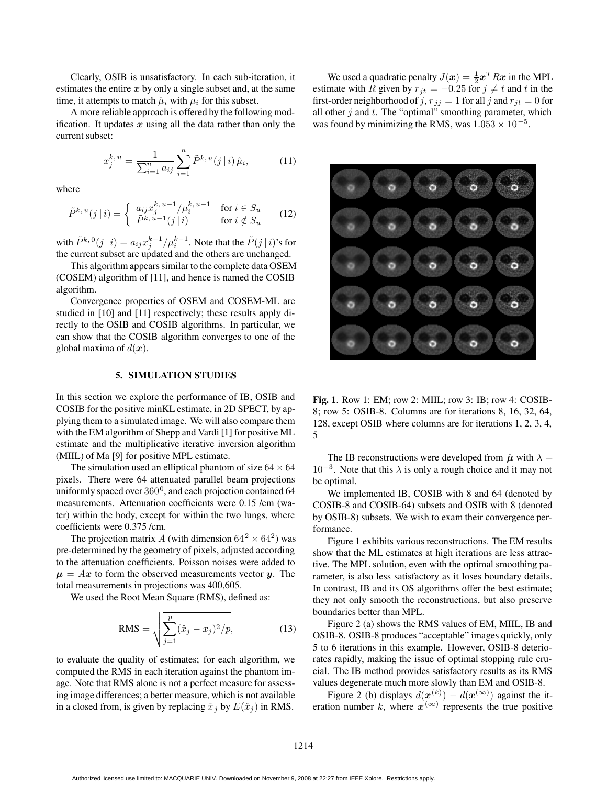Clearly, OSIB is unsatisfactory. In each sub-iteration, it estimates the entire *x* by only a single subset and, at the same time, it attempts to match  $\hat{\mu}_i$  with  $\mu_i$  for this subset.

A more reliable approach is offered by the following modification. It updates  $x$  using all the data rather than only the current subset:

$$
x_j^{k, u} = \frac{1}{\sum_{i=1}^n a_{ij}} \sum_{i=1}^n \tilde{P}^{k, u}(j|i) \hat{\mu}_i,
$$
 (11)

where

$$
\tilde{P}^{k, u}(j|i) = \begin{cases}\n a_{ij} x_j^{k, u-1} / \mu_i^{k, u-1} & \text{for } i \in S_u \\
\tilde{P}^{k, u-1}(j|i) & \text{for } i \notin S_u\n\end{cases}
$$
\n(12)

with  $\tilde{P}^{k,0}(j|i) = a_{ij}x_j^{k-1}/\mu_i^{k-1}$ . Note that the  $\tilde{P}(j|i)$ 's for<br>the current subset are undated and the others are unchanged the current subset are updated and the others are unchanged.

This algorithm appears similar to the complete data OSEM (COSEM) algorithm of [11], and hence is named the COSIB algorithm.

Convergence properties of OSEM and COSEM-ML are studied in [10] and [11] respectively; these results apply directly to the OSIB and COSIB algorithms. In particular, we can show that the COSIB algorithm converges to one of the global maxima of  $d(\mathbf{x})$ .

## **5. SIMULATION STUDIES**

In this section we explore the performance of IB, OSIB and COSIB for the positive minKL estimate, in 2D SPECT, by applying them to a simulated image. We will also compare them with the EM algorithm of Shepp and Vardi [1] for positive ML estimate and the multiplicative iterative inversion algorithm (MIIL) of Ma [9] for positive MPL estimate.

The simulation used an elliptical phantom of size  $64 \times 64$ pixels. There were 64 attenuated parallel beam projections uniformly spaced over  $360^0$ , and each projection contained 64 measurements. Attenuation coefficients were 0.15 /cm (water) within the body, except for within the two lungs, where coefficients were 0.375 /cm.

The projection matrix A (with dimension  $64^2 \times 64^2$ ) was pre-determined by the geometry of pixels, adjusted according to the attenuation coefficients. Poisson noises were added to  $\mu = Ax$  to form the observed measurements vector *y*. The total measurements in projections was 400,605.

We used the Root Mean Square (RMS), defined as:

RMS = 
$$
\sqrt{\sum_{j=1}^{p} (\hat{x}_j - x_j)^2 / p},
$$
 (13)

to evaluate the quality of estimates; for each algorithm, we computed the RMS in each iteration against the phantom image. Note that RMS alone is not a perfect measure for assessing image differences; a better measure, which is not available in a closed from, is given by replacing  $\hat{x}_i$  by  $E(\hat{x}_i)$  in RMS.

We used a quadratic penalty  $J(x) = \frac{1}{2}x^T R x$  in the MPL<br>mate with R given by  $x \cdot y = -0.25$  for  $j \neq t$  and t in the estimate with R given by  $r_{jt} = -0.25$  for  $j \neq t$  and t in the first-order neighborhood of j,  $r_{ij} = 1$  for all j and  $r_{it} = 0$  for all other  $j$  and  $t$ . The "optimal" smoothing parameter, which was found by minimizing the RMS, was  $1.053 \times 10^{-5}$ .



**Fig. 1**. Row 1: EM; row 2: MIIL; row 3: IB; row 4: COSIB-8; row 5: OSIB-8. Columns are for iterations 8, 16, 32, 64, 128, except OSIB where columns are for iterations 1, 2, 3, 4, 5

The IB reconstructions were developed from  $\hat{\mu}$  with  $\lambda =$  $10^{-3}$ . Note that this  $\lambda$  is only a rough choice and it may not be optimal.

We implemented IB, COSIB with 8 and 64 (denoted by COSIB-8 and COSIB-64) subsets and OSIB with 8 (denoted by OSIB-8) subsets. We wish to exam their convergence performance.

Figure 1 exhibits various reconstructions. The EM results show that the ML estimates at high iterations are less attractive. The MPL solution, even with the optimal smoothing parameter, is also less satisfactory as it loses boundary details. In contrast, IB and its OS algorithms offer the best estimate; they not only smooth the reconstructions, but also preserve boundaries better than MPL.

Figure 2 (a) shows the RMS values of EM, MIIL, IB and OSIB-8. OSIB-8 produces "acceptable" images quickly, only 5 to 6 iterations in this example. However, OSIB-8 deteriorates rapidly, making the issue of optimal stopping rule crucial. The IB method provides satisfactory results as its RMS values degenerate much more slowly than EM and OSIB-8.

Figure 2 (b) displays  $d(\mathbf{x}^{(k)}) - d(\mathbf{x}^{(\infty)})$  against the it-Figure 2 (b) displays  $d(x^{(k)}) - d(x^{(\infty)})$  against the iteration number k, where  $x^{(\infty)}$  represents the true positive